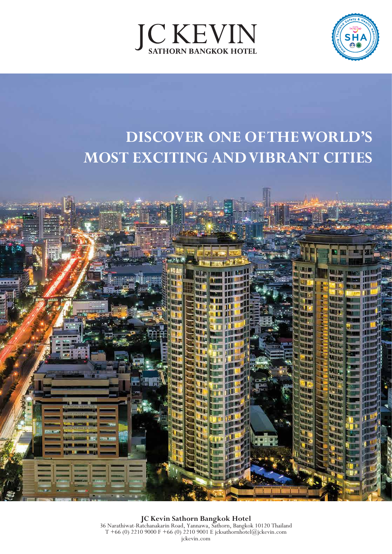



# **DISCOVER ONE OF THE WORLD'S MOST EXCITING AND VIBRANT CITIES**



**JC Kevin Sathorn Bangkok Hotel** 36 Narathiwat-Ratchanakarin Road, Yannawa, Sathorn, Bangkok 10120 Thailand T +66 (0) 2210 9000 F +66 (0) 2210 9001 E jcksathornhotel@jckevin.com jckevin.com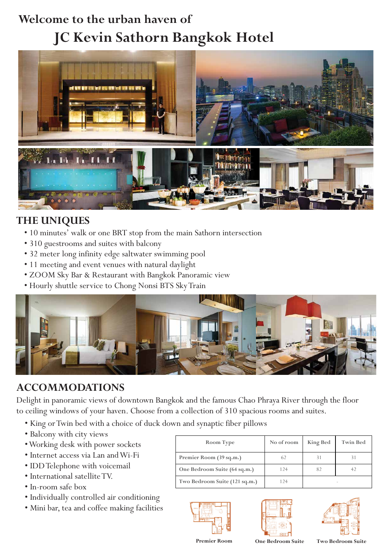## **Welcome to the urban haven of JC Kevin Sathorn Bangkok Hotel**



### **THE UNIQUES**

- 10 minutes' walk or one BRT stop from the main Sathorn intersection
- 310 guestrooms and suites with balcony
- 32 meter long infinity edge saltwater swimming pool
- 11 meeting and event venues with natural daylight
- ZOOM Sky Bar & Restaurant with Bangkok Panoramic view
- Hourly shuttle service to Chong Nonsi BTS Sky Train



#### **ACCOMMODATIONS**

Delight in panoramic views of downtown Bangkok and the famous Chao Phraya River through the floor to ceiling windows of your haven. Choose from a collection of 310 spacious rooms and suites.

- King or Twin bed with a choice of duck down and synaptic fiber pillows
- Balcony with city views
- Working desk with power sockets
- Internet access via Lan and Wi-Fi
- IDD Telephone with voicemail
- International satellite TV.
- In-room safe box
- Individually controlled air conditioning
- Mini bar, tea and coffee making facilities

| Room Type                     | No of room | <b>King Bed</b> | <b>Twin Bed</b> |
|-------------------------------|------------|-----------------|-----------------|
| Premier Room (39 sq.m.)       |            | 31              |                 |
| One Bedroom Suite (64 sq.m.)  | 124        | 82              |                 |
| Two Bedroom Suite (121 sq.m.) | 24         |                 |                 |







**Premier Room One Bedroom Suite Two Bedroom Suite**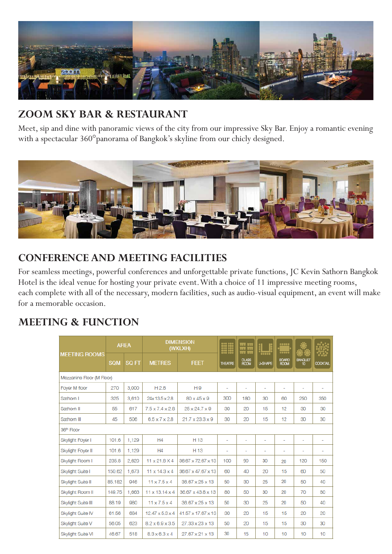

## **ZOOM SKY BAR & RESTAURANT**

Meet, sip and dine with panoramic views of the city from our impressive Sky Bar. Enjoy a romantic evening with a spectacular 360°panorama of Bangkok's skyline from our chicly designed.



#### **CONFERENCE AND MEETING FACILITIES**

For seamless meetings, powerful conferences and unforgettable private functions, JC Kevin Sathorn Bangkok Hotel is the ideal venue for hosting your private event. With a choice of 11 impressive meeting rooms, each complete with all of the necessary, modern facilities, such as audio-visual equipment, an event will make for a memorable occasion.

#### **MEETING & FUNCTION**

| <b>MEETING ROOMS</b>      | <b>AREA</b> |              | <b>DIMENSION</b><br>(WXLXH) |                             | $\begin{array}{ll} 111 & 101 \\ 111 & 101 \\ 112 & 101 \\ 113 & 101 \\ 104 & 101 \end{array}$ | <u>स स</u><br>m n |                                | 00000<br>$\overline{\cdots}$ |                          |                        |  |  |
|---------------------------|-------------|--------------|-----------------------------|-----------------------------|-----------------------------------------------------------------------------------------------|-------------------|--------------------------------|------------------------------|--------------------------|------------------------|--|--|
|                           | <b>SQM</b>  | <b>SQ FT</b> | <b>METRES</b>               | <b>FEET</b>                 | <b>THEATRE</b>                                                                                | CLASS<br>ROOM     | <b>COOOO</b><br><b>U-SHAPE</b> | BOARD<br>ROOM                | <b>BANQUET</b><br>10     | XX.<br><b>COCKTAIL</b> |  |  |
| Mezzanine Floor (M Floor) |             |              |                             |                             |                                                                                               |                   |                                |                              |                          |                        |  |  |
| Foyer M floor             | 270         | 3,000        | H <sub>2.8</sub>            | H <sub>9</sub>              | $\overline{\phantom{0}}$                                                                      | ÷.                | ٠                              | ٠                            | ٠                        | $\overline{a}$         |  |  |
| Sathorn I                 | 325         | 3,610        | 24x13.5 x 2.8               | $80 \times 45 \times 9$     | 300                                                                                           | 180               | 30                             | 60                           | 250                      | 350                    |  |  |
| Sathorn II                | 55          | 617          | $7.5 \times 7.4 \times 2.8$ | 25 x 24.7 x 9               | 30                                                                                            | 20                | 15                             | 12                           | 30                       | 30                     |  |  |
| Sathorn III               | 45          | 506          | $6.5 \times 7 \times 2.8$   | $21.7 \times 23.3 \times 9$ | 30                                                                                            | 20                | 15                             | 12                           | 30                       | 30                     |  |  |
| 36 <sup>th</sup> Floor    |             |              |                             |                             |                                                                                               |                   |                                |                              |                          |                        |  |  |
| Skylight Foyer I          | 101.6       | 1.129        | H4                          | H 13                        | $\overline{\phantom{a}}$                                                                      | ÷,                | ÷                              | $\overline{a}$               | $\overline{\phantom{a}}$ | ٠                      |  |  |
| Skylight Foyer II         | 101.6       | 1,129        | H4                          | H 13                        | ٠                                                                                             | ٠                 | ٠                              | ÷                            | ٠                        | ٠                      |  |  |
| Skylight Room I           | 235.8       | 2,620        | $11 \times 21.8 \times 4$   | 36.67 x 72.67 x 13          | 100                                                                                           | 90                | 30                             | 20                           | 120                      | 150                    |  |  |
| Skylight Suite I          | 150.62      | 1,673        | $11 \times 14.3 \times 4$   | 36.67 x 47.67 x 13          | 60                                                                                            | 40                | 20                             | 15                           | 60                       | 50                     |  |  |
| Skylight Suite II         | 85.182      | 946          | $11 \times 7.5 \times 4$    | 36.67 x 25 x 13             | 50                                                                                            | 30                | 25                             | 20                           | 50                       | 40                     |  |  |
| <b>Skylight Room II</b>   | 149.75      | 1,663        | $11 \times 13.14 \times 4$  | 36.67 x 43.8 x 13           | 80                                                                                            | 50                | 30                             | 20                           | 70                       | 80                     |  |  |
| Skylight Suite III        | 88.19       | 980          | $11 \times 7.5 \times 4$    | 36.67 x 25 x 13             | 50                                                                                            | 30                | 25                             | 20                           | 50                       | 40                     |  |  |
| Skylight Suite IV         | 61.56       | 684          | $12.47 \times 5.3 \times 4$ | 41.57 x 17.67 x 13          | 30                                                                                            | 20                | 15                             | 15                           | 20                       | 20                     |  |  |
| Skylight Suite V          | 56.05       | 623          | $8.2 \times 6.9 \times 3.5$ | 27.33 x 23 x 13             | 50                                                                                            | 20                | 15                             | 15                           | 30                       | 30                     |  |  |
| Skylight Suite VI         | 46.67       | 518          | $8.3 \times 6.3 \times 4$   | 27.67 x 21 x 13             | 30                                                                                            | 15                | 10                             | 10                           | 10                       | 10                     |  |  |